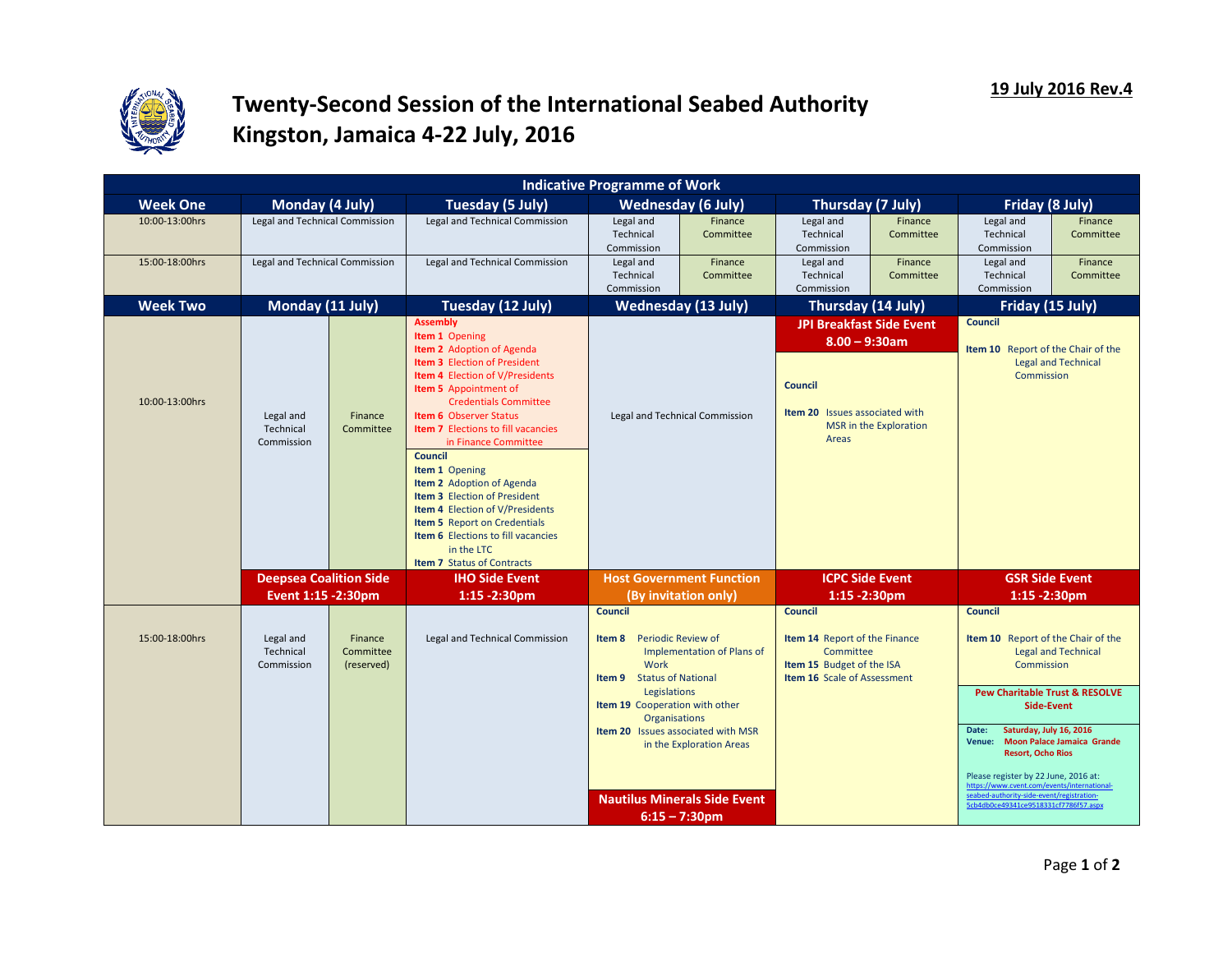

## **Twenty-Second Session of the International Seabed Authority Kingston, Jamaica 4-22 July, 2016**

| <b>Indicative Programme of Work</b>  |                                    |                                                                                                                                                                                                                                                                                                                                                                                                                                                                                                                                                                                                                |                                                                                                                                                                                                                                                                                                                                                                                                                                                                 |                      |                                                                                                                                                                                                                                                                                                                                                                                                                                                      |                      |                                                                                |                                    |  |  |  |
|--------------------------------------|------------------------------------|----------------------------------------------------------------------------------------------------------------------------------------------------------------------------------------------------------------------------------------------------------------------------------------------------------------------------------------------------------------------------------------------------------------------------------------------------------------------------------------------------------------------------------------------------------------------------------------------------------------|-----------------------------------------------------------------------------------------------------------------------------------------------------------------------------------------------------------------------------------------------------------------------------------------------------------------------------------------------------------------------------------------------------------------------------------------------------------------|----------------------|------------------------------------------------------------------------------------------------------------------------------------------------------------------------------------------------------------------------------------------------------------------------------------------------------------------------------------------------------------------------------------------------------------------------------------------------------|----------------------|--------------------------------------------------------------------------------|------------------------------------|--|--|--|
| Monday (4 July)                      |                                    | Tuesday (5 July)                                                                                                                                                                                                                                                                                                                                                                                                                                                                                                                                                                                               | <b>Wednesday (6 July)</b>                                                                                                                                                                                                                                                                                                                                                                                                                                       |                      | Thursday (7 July)                                                                                                                                                                                                                                                                                                                                                                                                                                    |                      | Friday (8 July)                                                                |                                    |  |  |  |
|                                      |                                    | Legal and Technical Commission                                                                                                                                                                                                                                                                                                                                                                                                                                                                                                                                                                                 | Legal and<br>Technical<br>Commission                                                                                                                                                                                                                                                                                                                                                                                                                            | Finance<br>Committee | Legal and<br>Technical<br>Commission                                                                                                                                                                                                                                                                                                                                                                                                                 | Finance<br>Committee | Legal and<br>Technical<br>Commission                                           | Finance<br>Committee               |  |  |  |
| Legal and Technical Commission       |                                    | Legal and Technical Commission                                                                                                                                                                                                                                                                                                                                                                                                                                                                                                                                                                                 | Legal and<br>Technical<br>Commission                                                                                                                                                                                                                                                                                                                                                                                                                            | Finance<br>Committee | Legal and<br>Technical<br>Commission                                                                                                                                                                                                                                                                                                                                                                                                                 | Finance<br>Committee | Legal and<br>Technical<br>Commission                                           | Finance<br>Committee               |  |  |  |
|                                      |                                    | Tuesday (12 July)                                                                                                                                                                                                                                                                                                                                                                                                                                                                                                                                                                                              |                                                                                                                                                                                                                                                                                                                                                                                                                                                                 |                      |                                                                                                                                                                                                                                                                                                                                                                                                                                                      |                      |                                                                                |                                    |  |  |  |
| Legal and<br>Technical<br>Commission | Finance<br>Committee               | <b>Assembly</b><br>Item 1 Opening<br>Item 2 Adoption of Agenda<br><b>Item 3</b> Election of President<br><b>Item 4</b> Election of V/Presidents<br>Item 5 Appointment of<br><b>Credentials Committee</b><br><b>Item 6 Observer Status</b><br><b>Item 7</b> Elections to fill vacancies<br>in Finance Committee<br><b>Council</b><br>Item 1 Opening<br><b>Item 2</b> Adoption of Agenda<br><b>Item 3</b> Election of President<br><b>Item 4</b> Election of V/Presidents<br><b>Item 5</b> Report on Credentials<br><b>Item 6</b> Elections to fill vacancies<br>in the LTC<br><b>Item 7 Status of Contracts</b> | Legal and Technical Commission                                                                                                                                                                                                                                                                                                                                                                                                                                  |                      | $8.00 - 9:30$ am<br><b>Council</b><br>Item 20 Issues associated with<br>MSR in the Exploration<br>Areas                                                                                                                                                                                                                                                                                                                                              |                      | Item 10 Report of the Chair of the<br><b>Legal and Technical</b><br>Commission |                                    |  |  |  |
|                                      |                                    | <b>IHO Side Event</b>                                                                                                                                                                                                                                                                                                                                                                                                                                                                                                                                                                                          |                                                                                                                                                                                                                                                                                                                                                                                                                                                                 |                      | <b>ICPC Side Event</b>                                                                                                                                                                                                                                                                                                                                                                                                                               |                      | <b>GSR Side Event</b><br>$1:15 - 2:30$ pm                                      |                                    |  |  |  |
| Legal and<br>Technical<br>Commission | Finance<br>Committee<br>(reserved) | Legal and Technical Commission                                                                                                                                                                                                                                                                                                                                                                                                                                                                                                                                                                                 | <b>Council</b><br><b>Council</b><br>Item 14 Report of the Finance<br>Item 8<br><b>Periodic Review of</b><br>Committee<br>Implementation of Plans of<br>Item 15 Budget of the ISA<br>Work<br><b>Status of National</b><br><b>Item 16 Scale of Assessment</b><br>Item 9<br>Legislations<br>Item 19 Cooperation with other<br><b>Organisations</b><br><b>Item 20</b> Issues associated with MSR<br>in the Exploration Areas<br><b>Nautilus Minerals Side Event</b> |                      | <b>Council</b><br>Item 10 Report of the Chair of the<br><b>Legal and Technical</b><br>Commission<br><b>Pew Charitable Trust &amp; RESOLVE</b><br><b>Side-Event</b><br>Saturday, July 16, 2016<br>Date:<br>Venue: Moon Palace Jamaica Grande<br><b>Resort, Ocho Rios</b><br>Please register by 22 June, 2016 at:<br>https://www.cvent.com/events/international-<br>seabed-authority-side-event/registration-<br>5cb4db0ce49341ce9518331cf7786f57.aspx |                      |                                                                                |                                    |  |  |  |
|                                      |                                    | Legal and Technical Commission<br>Monday (11 July)<br><b>Deepsea Coalition Side</b><br>Event 1:15 -2:30pm                                                                                                                                                                                                                                                                                                                                                                                                                                                                                                      | $1:15 - 2:30$ pm                                                                                                                                                                                                                                                                                                                                                                                                                                                |                      | <b>Wednesday (13 July)</b><br><b>Host Government Function</b><br>(By invitation only)<br>$6:15 - 7:30$ pm                                                                                                                                                                                                                                                                                                                                            |                      | Thursday (14 July)<br><b>JPI Breakfast Side Event</b><br>$1:15 - 2:30$ pm      | Friday (15 July)<br><b>Council</b> |  |  |  |